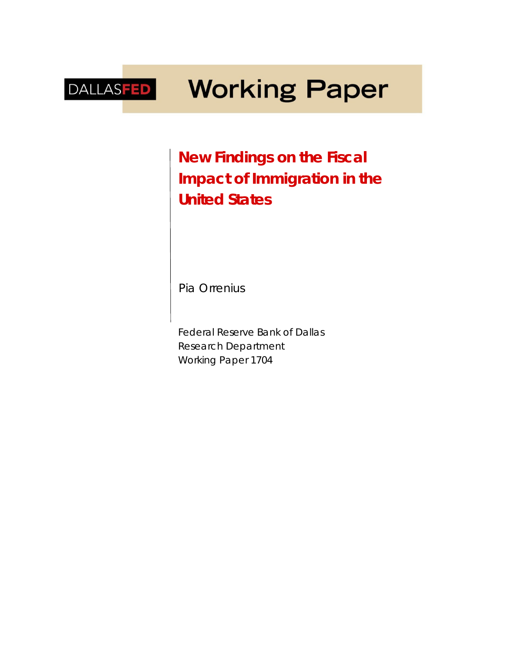# **Working Paper** DALLASFED

**New Findings on the Fiscal Impact of Immigration in the United States**

*Pia Orrenius*

Federal Reserve Bank of Dallas Research Department Working Paper 1704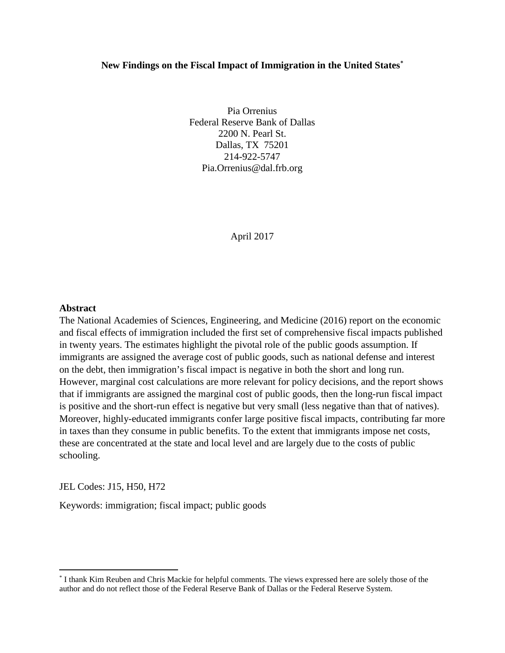## **New Findings on the Fiscal Impact of Immigration in the United States[\\*](#page-1-0)**

Pia Orrenius Federal Reserve Bank of Dallas 2200 N. Pearl St. Dallas, TX 75201 214-922-5747 Pia.Orrenius@dal.frb.org

April 2017

## **Abstract**

The National Academies of Sciences, Engineering, and Medicine (2016) report on the economic and fiscal effects of immigration included the first set of comprehensive fiscal impacts published in twenty years. The estimates highlight the pivotal role of the public goods assumption. If immigrants are assigned the average cost of public goods, such as national defense and interest on the debt, then immigration's fiscal impact is negative in both the short and long run. However, marginal cost calculations are more relevant for policy decisions, and the report shows that if immigrants are assigned the marginal cost of public goods, then the long-run fiscal impact is positive and the short-run effect is negative but very small (less negative than that of natives). Moreover, highly-educated immigrants confer large positive fiscal impacts, contributing far more in taxes than they consume in public benefits. To the extent that immigrants impose net costs, these are concentrated at the state and local level and are largely due to the costs of public schooling.

JEL Codes: J15, H50, H72

Keywords: immigration; fiscal impact; public goods

<span id="page-1-0"></span> <sup>\*</sup> I thank Kim Reuben and Chris Mackie for helpful comments. The views expressed here are solely those of the author and do not reflect those of the Federal Reserve Bank of Dallas or the Federal Reserve System.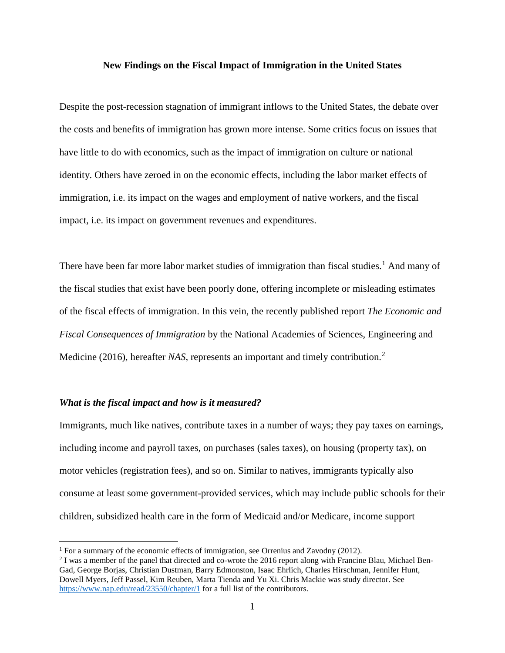#### **New Findings on the Fiscal Impact of Immigration in the United States**

Despite the post-recession stagnation of immigrant inflows to the United States, the debate over the costs and benefits of immigration has grown more intense. Some critics focus on issues that have little to do with economics, such as the impact of immigration on culture or national identity. Others have zeroed in on the economic effects, including the labor market effects of immigration, i.e. its impact on the wages and employment of native workers, and the fiscal impact, i.e. its impact on government revenues and expenditures.

There have been far more labor market studies of immigration than fiscal studies.<sup>[1](#page-2-0)</sup> And many of the fiscal studies that exist have been poorly done, offering incomplete or misleading estimates of the fiscal effects of immigration. In this vein, the recently published report *The Economic and Fiscal Consequences of Immigration* by the National Academies of Sciences, Engineering and Medicine (2016), hereafter *NAS*, represents an important and timely contribution.[2](#page-2-1)

#### *What is the fiscal impact and how is it measured?*

Immigrants, much like natives, contribute taxes in a number of ways; they pay taxes on earnings, including income and payroll taxes, on purchases (sales taxes), on housing (property tax), on motor vehicles (registration fees), and so on. Similar to natives, immigrants typically also consume at least some government-provided services, which may include public schools for their children, subsidized health care in the form of Medicaid and/or Medicare, income support

<span id="page-2-0"></span><sup>&</sup>lt;sup>1</sup> For a summary of the economic effects of immigration, see Orrenius and Zavodny (2012).

<span id="page-2-1"></span><sup>&</sup>lt;sup>2</sup> I was a member of the panel that directed and co-wrote the 2016 report along with Francine Blau, Michael Ben-Gad, George Borjas, Christian Dustman, Barry Edmonston, Isaac Ehrlich, Charles Hirschman, Jennifer Hunt, Dowell Myers, Jeff Passel, Kim Reuben, Marta Tienda and Yu Xi. Chris Mackie was study director. See <https://www.nap.edu/read/23550/chapter/1> for a full list of the contributors.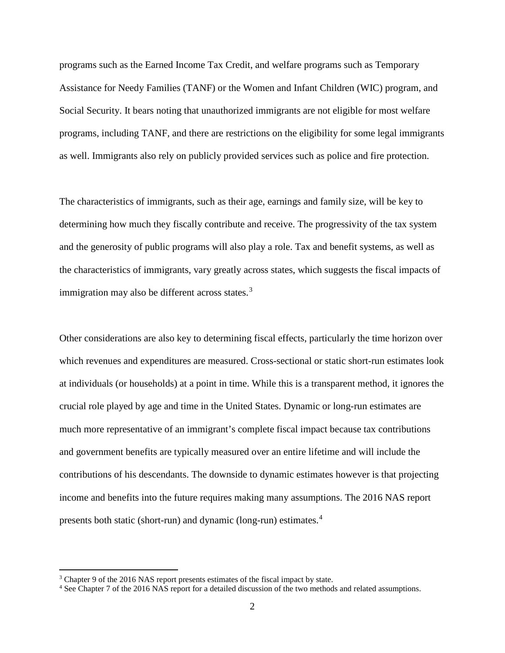programs such as the Earned Income Tax Credit, and welfare programs such as Temporary Assistance for Needy Families (TANF) or the Women and Infant Children (WIC) program, and Social Security. It bears noting that unauthorized immigrants are not eligible for most welfare programs, including TANF, and there are restrictions on the eligibility for some legal immigrants as well. Immigrants also rely on publicly provided services such as police and fire protection.

The characteristics of immigrants, such as their age, earnings and family size, will be key to determining how much they fiscally contribute and receive. The progressivity of the tax system and the generosity of public programs will also play a role. Tax and benefit systems, as well as the characteristics of immigrants, vary greatly across states, which suggests the fiscal impacts of immigration may also be different across states. $3$ 

Other considerations are also key to determining fiscal effects, particularly the time horizon over which revenues and expenditures are measured. Cross-sectional or static short-run estimates look at individuals (or households) at a point in time. While this is a transparent method, it ignores the crucial role played by age and time in the United States. Dynamic or long-run estimates are much more representative of an immigrant's complete fiscal impact because tax contributions and government benefits are typically measured over an entire lifetime and will include the contributions of his descendants. The downside to dynamic estimates however is that projecting income and benefits into the future requires making many assumptions. The 2016 NAS report presents both static (short-run) and dynamic (long-run) estimates.[4](#page-3-1)

<span id="page-3-0"></span><sup>&</sup>lt;sup>3</sup> Chapter 9 of the 2016 NAS report presents estimates of the fiscal impact by state.

<span id="page-3-1"></span><sup>4</sup> See Chapter 7 of the 2016 NAS report for a detailed discussion of the two methods and related assumptions.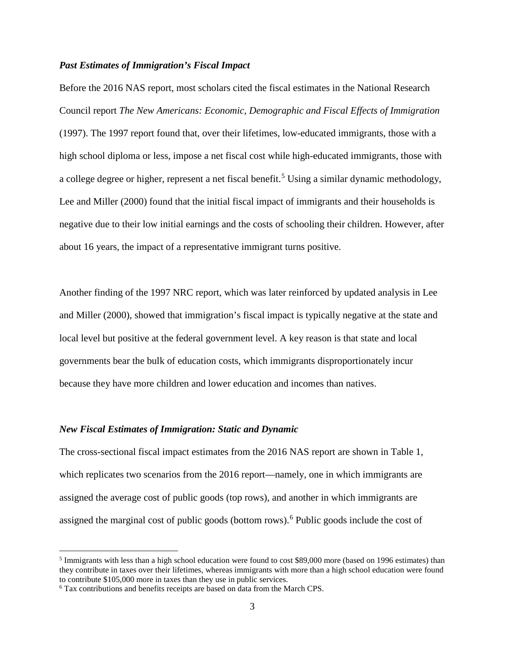## *Past Estimates of Immigration's Fiscal Impact*

Before the 2016 NAS report, most scholars cited the fiscal estimates in the National Research Council report *The New Americans: Economic, Demographic and Fiscal Effects of Immigration* (1997). The 1997 report found that, over their lifetimes, low-educated immigrants, those with a high school diploma or less, impose a net fiscal cost while high-educated immigrants, those with a college degree or higher, represent a net fiscal benefit.<sup>[5](#page-4-0)</sup> Using a similar dynamic methodology, Lee and Miller (2000) found that the initial fiscal impact of immigrants and their households is negative due to their low initial earnings and the costs of schooling their children. However, after about 16 years, the impact of a representative immigrant turns positive.

Another finding of the 1997 NRC report, which was later reinforced by updated analysis in Lee and Miller (2000), showed that immigration's fiscal impact is typically negative at the state and local level but positive at the federal government level. A key reason is that state and local governments bear the bulk of education costs, which immigrants disproportionately incur because they have more children and lower education and incomes than natives.

#### *New Fiscal Estimates of Immigration: Static and Dynamic*

The cross-sectional fiscal impact estimates from the 2016 NAS report are shown in Table 1, which replicates two scenarios from the 2016 report—namely, one in which immigrants are assigned the average cost of public goods (top rows), and another in which immigrants are assigned the marginal cost of public goods (bottom rows).<sup>[6](#page-4-1)</sup> Public goods include the cost of

<span id="page-4-0"></span><sup>&</sup>lt;sup>5</sup> Immigrants with less than a high school education were found to cost \$89,000 more (based on 1996 estimates) than they contribute in taxes over their lifetimes, whereas immigrants with more than a high school education were found to contribute \$105,000 more in taxes than they use in public services.  $6$  Tax contributions and benefits receipts are based on data from the March CPS.

<span id="page-4-1"></span>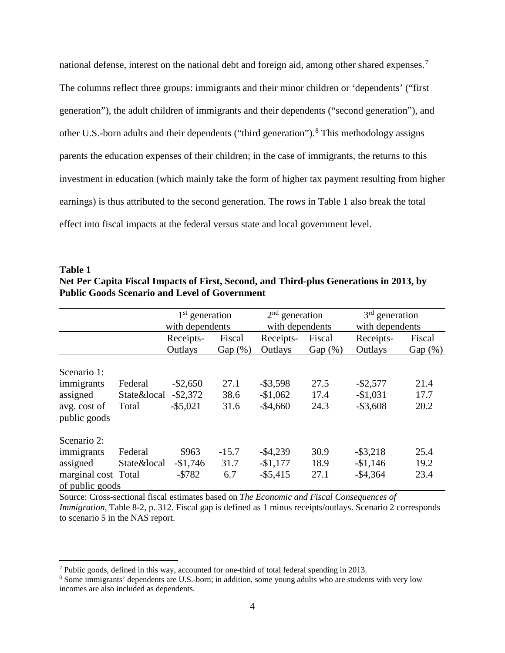national defense, interest on the national debt and foreign aid, among other shared expenses.<sup>[7](#page-5-0)</sup> The columns reflect three groups: immigrants and their minor children or 'dependents' ("first generation"), the adult children of immigrants and their dependents ("second generation"), and other U.S.-born adults and their dependents ("third generation").<sup>[8](#page-5-1)</sup> This methodology assigns parents the education expenses of their children; in the case of immigrants, the returns to this investment in education (which mainly take the form of higher tax payment resulting from higher earnings) is thus attributed to the second generation. The rows in Table 1 also break the total effect into fiscal impacts at the federal versus state and local government level.

| Table 1                                                                                |
|----------------------------------------------------------------------------------------|
| Net Per Capita Fiscal Impacts of First, Second, and Third-plus Generations in 2013, by |
| <b>Public Goods Scenario and Level of Government</b>                                   |

|                              |             | $1st$ generation<br>with dependents |         | $2nd$ generation<br>with dependents |            | $3rd$ generation<br>with dependents |            |  |
|------------------------------|-------------|-------------------------------------|---------|-------------------------------------|------------|-------------------------------------|------------|--|
|                              |             |                                     |         |                                     |            |                                     |            |  |
|                              |             | Receipts-                           | Fiscal  | Receipts-                           | Fiscal     | Receipts-                           | Fiscal     |  |
|                              |             | Outlays                             | Gap(%)  | Outlays                             | $Gap(\% )$ | Outlays                             | $Gap(\% )$ |  |
| Scenario 1:                  |             |                                     |         |                                     |            |                                     |            |  |
| immigrants                   | Federal     | $-$ \$2,650                         | 27.1    | $-$ \$3,598                         | 27.5       | $-$ \$2,577                         | 21.4       |  |
| assigned                     | State&local | $-$ \$2,372                         | 38.6    | $-$1,062$                           | 17.4       | $-$1,031$                           | 17.7       |  |
| avg. cost of<br>public goods | Total       | $-$ \$5,021                         | 31.6    | $-$4,660$                           | 24.3       | $-$ \$3,608                         | 20.2       |  |
| Scenario 2:                  |             |                                     |         |                                     |            |                                     |            |  |
| immigrants                   | Federal     | \$963                               | $-15.7$ | $-$ \$4,239                         | 30.9       | $-$ \$3,218                         | 25.4       |  |
| assigned                     | State&local | $-$1,746$                           | 31.7    | $-$1,177$                           | 18.9       | $-$1,146$                           | 19.2       |  |
| marginal cost Total          |             | $- $782$                            | 6.7     | $-$ \$5,415                         | 27.1       | $-$4,364$                           | 23.4       |  |
| of public goods              |             |                                     |         |                                     |            |                                     |            |  |

Source: Cross-sectional fiscal estimates based on *The Economic and Fiscal Consequences of Immigration*, Table 8-2, p. 312. Fiscal gap is defined as 1 minus receipts/outlays. Scenario 2 corresponds to scenario 5 in the NAS report.

<span id="page-5-0"></span> <sup>7</sup> Public goods, defined in this way, accounted for one-third of total federal spending in 2013.

<span id="page-5-1"></span><sup>8</sup> Some immigrants' dependents are U.S.-born; in addition, some young adults who are students with very low incomes are also included as dependents.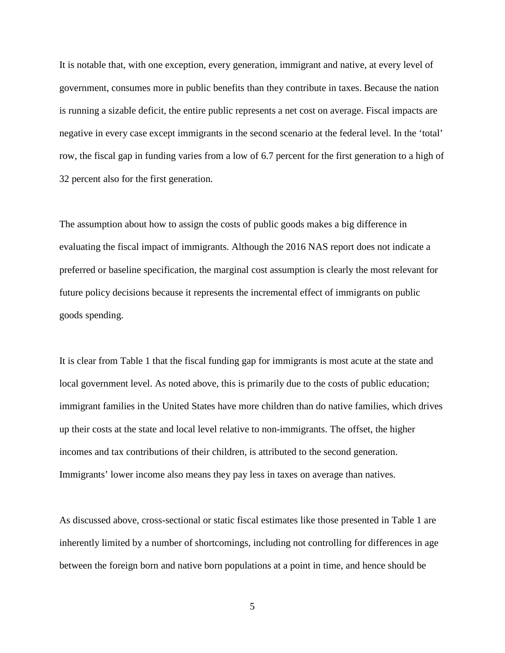It is notable that, with one exception, every generation, immigrant and native, at every level of government, consumes more in public benefits than they contribute in taxes. Because the nation is running a sizable deficit, the entire public represents a net cost on average. Fiscal impacts are negative in every case except immigrants in the second scenario at the federal level. In the 'total' row, the fiscal gap in funding varies from a low of 6.7 percent for the first generation to a high of 32 percent also for the first generation.

The assumption about how to assign the costs of public goods makes a big difference in evaluating the fiscal impact of immigrants. Although the 2016 NAS report does not indicate a preferred or baseline specification, the marginal cost assumption is clearly the most relevant for future policy decisions because it represents the incremental effect of immigrants on public goods spending.

It is clear from Table 1 that the fiscal funding gap for immigrants is most acute at the state and local government level. As noted above, this is primarily due to the costs of public education; immigrant families in the United States have more children than do native families, which drives up their costs at the state and local level relative to non-immigrants. The offset, the higher incomes and tax contributions of their children, is attributed to the second generation. Immigrants' lower income also means they pay less in taxes on average than natives.

As discussed above, cross-sectional or static fiscal estimates like those presented in Table 1 are inherently limited by a number of shortcomings, including not controlling for differences in age between the foreign born and native born populations at a point in time, and hence should be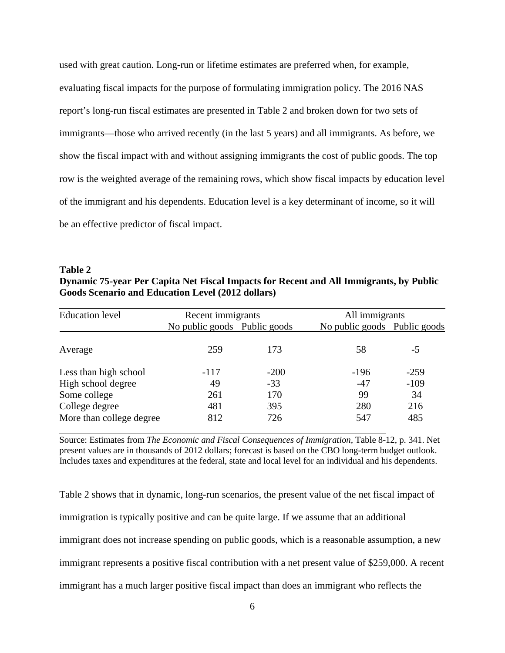used with great caution. Long-run or lifetime estimates are preferred when, for example, evaluating fiscal impacts for the purpose of formulating immigration policy. The 2016 NAS report's long-run fiscal estimates are presented in Table 2 and broken down for two sets of immigrants—those who arrived recently (in the last 5 years) and all immigrants. As before, we show the fiscal impact with and without assigning immigrants the cost of public goods. The top row is the weighted average of the remaining rows, which show fiscal impacts by education level of the immigrant and his dependents. Education level is a key determinant of income, so it will be an effective predictor of fiscal impact.

**Table 2 Dynamic 75-year Per Capita Net Fiscal Impacts for Recent and All Immigrants, by Public Goods Scenario and Education Level (2012 dollars)**

| <b>Education level</b>   | Recent immigrants            |        |                              | All immigrants |  |  |
|--------------------------|------------------------------|--------|------------------------------|----------------|--|--|
|                          | No public goods Public goods |        | No public goods Public goods |                |  |  |
| Average                  | 259                          | 173    | 58                           | $-5$           |  |  |
| Less than high school    | $-117$                       | $-200$ | $-196$                       | $-259$         |  |  |
| High school degree       | 49                           | $-33$  | $-47$                        | $-109$         |  |  |
| Some college             | 261                          | 170    | 99                           | 34             |  |  |
| College degree           | 481                          | 395    | 280                          | 216            |  |  |
| More than college degree | 812                          | 726    | 547                          | 485            |  |  |

Source: Estimates from *The Economic and Fiscal Consequences of Immigration,* Table 8-12, p. 341. Net present values are in thousands of 2012 dollars; forecast is based on the CBO long-term budget outlook. Includes taxes and expenditures at the federal, state and local level for an individual and his dependents.

Table 2 shows that in dynamic, long-run scenarios, the present value of the net fiscal impact of immigration is typically positive and can be quite large. If we assume that an additional immigrant does not increase spending on public goods, which is a reasonable assumption, a new immigrant represents a positive fiscal contribution with a net present value of \$259,000. A recent immigrant has a much larger positive fiscal impact than does an immigrant who reflects the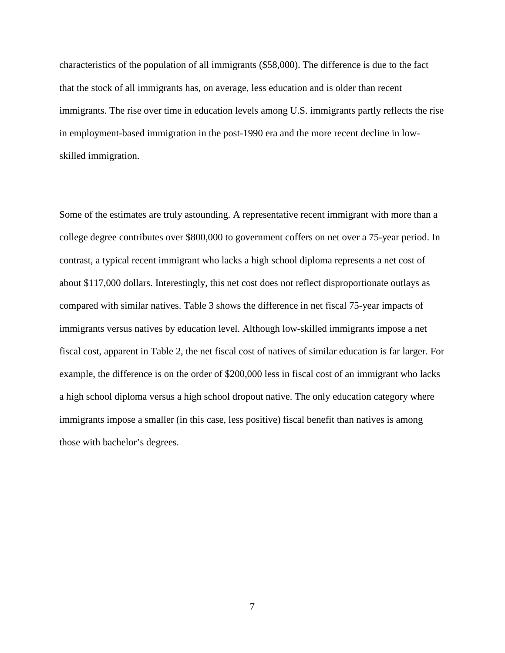characteristics of the population of all immigrants (\$58,000). The difference is due to the fact that the stock of all immigrants has, on average, less education and is older than recent immigrants. The rise over time in education levels among U.S. immigrants partly reflects the rise in employment-based immigration in the post-1990 era and the more recent decline in lowskilled immigration.

Some of the estimates are truly astounding. A representative recent immigrant with more than a college degree contributes over \$800,000 to government coffers on net over a 75-year period. In contrast, a typical recent immigrant who lacks a high school diploma represents a net cost of about \$117,000 dollars. Interestingly, this net cost does not reflect disproportionate outlays as compared with similar natives. Table 3 shows the difference in net fiscal 75-year impacts of immigrants versus natives by education level. Although low-skilled immigrants impose a net fiscal cost, apparent in Table 2, the net fiscal cost of natives of similar education is far larger. For example, the difference is on the order of \$200,000 less in fiscal cost of an immigrant who lacks a high school diploma versus a high school dropout native. The only education category where immigrants impose a smaller (in this case, less positive) fiscal benefit than natives is among those with bachelor's degrees.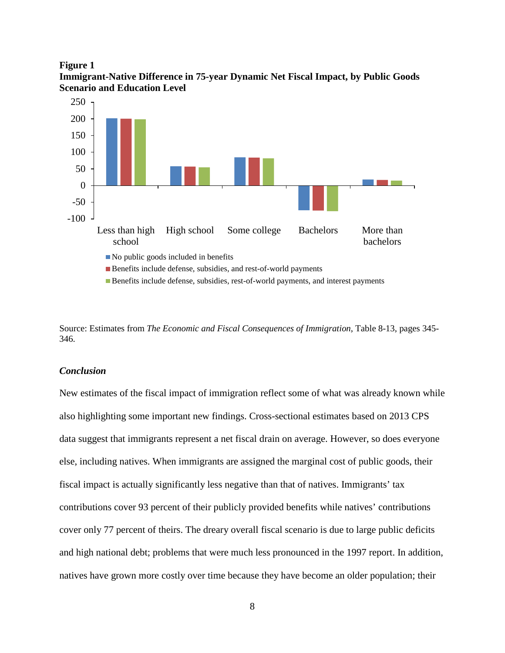



Source: Estimates from *The Economic and Fiscal Consequences of Immigration*, Table 8-13, pages 345- 346.

## *Conclusion*

New estimates of the fiscal impact of immigration reflect some of what was already known while also highlighting some important new findings. Cross-sectional estimates based on 2013 CPS data suggest that immigrants represent a net fiscal drain on average. However, so does everyone else, including natives. When immigrants are assigned the marginal cost of public goods, their fiscal impact is actually significantly less negative than that of natives. Immigrants' tax contributions cover 93 percent of their publicly provided benefits while natives' contributions cover only 77 percent of theirs. The dreary overall fiscal scenario is due to large public deficits and high national debt; problems that were much less pronounced in the 1997 report. In addition, natives have grown more costly over time because they have become an older population; their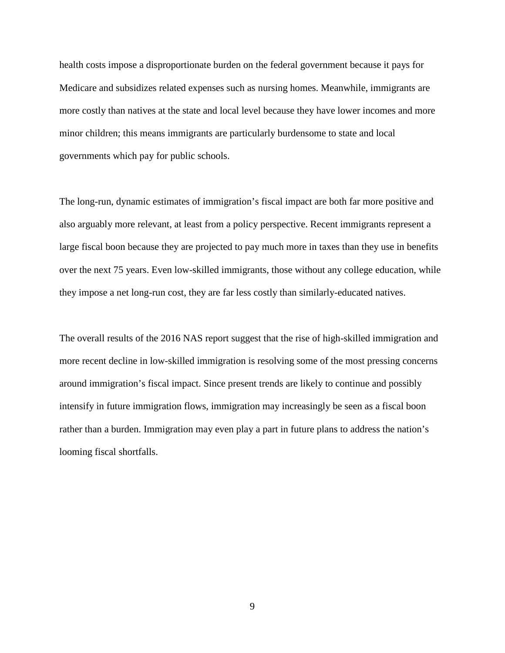health costs impose a disproportionate burden on the federal government because it pays for Medicare and subsidizes related expenses such as nursing homes. Meanwhile, immigrants are more costly than natives at the state and local level because they have lower incomes and more minor children; this means immigrants are particularly burdensome to state and local governments which pay for public schools.

The long-run, dynamic estimates of immigration's fiscal impact are both far more positive and also arguably more relevant, at least from a policy perspective. Recent immigrants represent a large fiscal boon because they are projected to pay much more in taxes than they use in benefits over the next 75 years. Even low-skilled immigrants, those without any college education, while they impose a net long-run cost, they are far less costly than similarly-educated natives.

The overall results of the 2016 NAS report suggest that the rise of high-skilled immigration and more recent decline in low-skilled immigration is resolving some of the most pressing concerns around immigration's fiscal impact. Since present trends are likely to continue and possibly intensify in future immigration flows, immigration may increasingly be seen as a fiscal boon rather than a burden. Immigration may even play a part in future plans to address the nation's looming fiscal shortfalls.